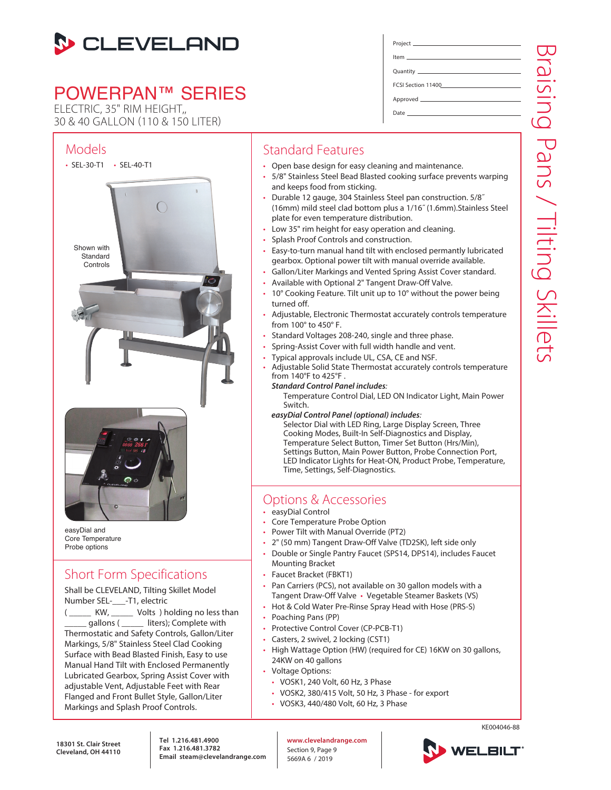

# POWERPAN™ SERIES

ELECTRIC, 35" RIM HEIGHT,, 30 & 40 GALLON (110 & 150 LITER)

### Models



easyDial and Core Temperature Probe options

## Short Form Specifications

Shall be CLEVELAND, Tilting Skillet Model Number SEL-\_\_\_-T1, electric

KW, \_\_\_\_\_ Volts ) holding no less than gallons ( \_\_\_\_\_ liters); Complete with Thermostatic and Safety Controls, Gallon/Liter Markings, 5/8" Stainless Steel Clad Cooking Surface with Bead Blasted Finish, Easy to use Manual Hand Tilt with Enclosed Permanently Lubricated Gearbox, Spring Assist Cover with adjustable Vent, Adjustable Feet with Rear Flanged and Front Bullet Style, Gallon/Liter Markings and Splash Proof Controls.

Project Item Quantity FCSI Section 11400

Approved

Date

### Standard Features

- Open base design for easy cleaning and maintenance.
- 5/8" Stainless Steel Bead Blasted cooking surface prevents warping and keeps food from sticking.
- Durable 12 gauge, 304 Stainless Steel pan construction. 5/8˝ (16mm) mild steel clad bottom plus a 1/16˝ (1.6mm).Stainless Steel plate for even temperature distribution.
- Low 35" rim height for easy operation and cleaning.
- Splash Proof Controls and construction.
- Easy-to-turn manual hand tilt with enclosed permantly lubricated gearbox. Optional power tilt with manual override available.
- Gallon/Liter Markings and Vented Spring Assist Cover standard.
- Available with Optional 2" Tangent Draw-Off Valve.
- 10° Cooking Feature. Tilt unit up to 10° without the power being turned off.
- Adjustable, Electronic Thermostat accurately controls temperature from 100° to 450° F.
- Standard Voltages 208-240, single and three phase.
- Spring-Assist Cover with full width handle and vent.
- Typical approvals include UL, CSA, CE and NSF.
- Adjustable Solid State Thermostat accurately controls temperature from 140°F to 425°F .

#### *Standard Control Panel includes*:

Temperature Control Dial, LED ON Indicator Light, Main Power Switch.

*easyDial Control Panel (optional) includes*:

Selector Dial with LED Ring, Large Display Screen, Three Cooking Modes, Built-In Self-Diagnostics and Display, Temperature Select Button, Timer Set Button (Hrs/Min), Settings Button, Main Power Button, Probe Connection Port, LED Indicator Lights for Heat-ON, Product Probe, Temperature, Time, Settings, Self-Diagnostics.

### Options & Accessories

- easyDial Control
- Core Temperature Probe Option
- Power Tilt with Manual Override (PT2)
- 2" (50 mm) Tangent Draw-Off Valve (TD2SK), left side only
- Double or Single Pantry Faucet (SPS14, DPS14), includes Faucet Mounting Bracket
- Faucet Bracket (FBKT1)
- Pan Carriers (PCS), not available on 30 gallon models with a Tangent Draw-Off Valve • Vegetable Steamer Baskets (VS)
- Hot & Cold Water Pre-Rinse Spray Head with Hose (PRS-S)
- Poaching Pans (PP)
- Protective Control Cover (CP-PCB-T1)
- Casters, 2 swivel, 2 locking (CST1)
- High Wattage Option (HW) (required for CE) 16KW on 30 gallons, 24KW on 40 gallons
- Voltage Options:
	- VOSK1, 240 Volt, 60 Hz, 3 Phase
	- VOSK2, 380/415 Volt, 50 Hz, 3 Phase for export
	- VOSK3, 440/480 Volt, 60 Hz, 3 Phase

**18301 St. Clair Street Cleveland, OH 44110** **Tel 1.216.481.4900 Fax 1.216.481.3782 Email steam@clevelandrange.com** **www.clevelandrange.com** Section 9, Page 9 5669A 6 / 2019